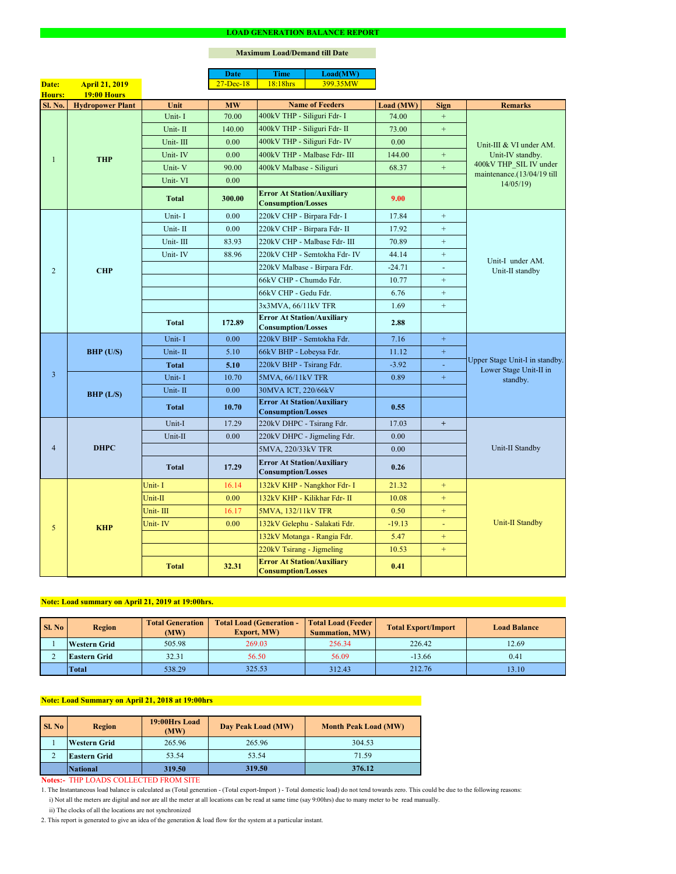### **Notes:-** THP LOADS COLLECTED FROM SITE

|                |                         |              | <b>Date</b>   | <b>Time</b>                                                    | Load(MW)                      |           |                  |                                                          |  |
|----------------|-------------------------|--------------|---------------|----------------------------------------------------------------|-------------------------------|-----------|------------------|----------------------------------------------------------|--|
| Date:          | <b>April 21, 2019</b>   |              | $27 - Dec-18$ | 18:18hrs                                                       | 399.35MW                      |           |                  |                                                          |  |
| <b>Hours:</b>  | <b>19:00 Hours</b>      |              |               |                                                                |                               |           |                  |                                                          |  |
| Sl. No.        | <b>Hydropower Plant</b> | Unit         | <b>MW</b>     |                                                                | <b>Name of Feeders</b>        | Load (MW) | <b>Sign</b>      | <b>Remarks</b>                                           |  |
|                |                         | Unit-I       | 70.00         | 400kV THP - Siliguri Fdr- I                                    |                               | 74.00     |                  |                                                          |  |
|                |                         | Unit-II      | 140.00        | 400kV THP - Siliguri Fdr- II                                   |                               | 73.00     | $\boldsymbol{+}$ |                                                          |  |
|                |                         | Unit-III     | 0.00          |                                                                | 400kV THP - Siliguri Fdr- IV  | 0.00      |                  | Unit-III & VI under AM.<br>Unit-IV standby.              |  |
|                | <b>THP</b>              | Unit-IV      | 0.00          |                                                                | 400kV THP - Malbase Fdr- III  | 144.00    | $\boldsymbol{+}$ |                                                          |  |
|                |                         | Unit-V       | 90.00         | 400kV Malbase - Siliguri                                       |                               | 68.37     | $\boldsymbol{+}$ | 400kV THP_SIL IV under<br>maintenance.(13/04/19 till     |  |
|                |                         | Unit-VI      | 0.00          |                                                                |                               |           |                  | 14/05/19                                                 |  |
|                |                         | <b>Total</b> | 300.00        | <b>Error At Station/Auxiliary</b><br><b>Consumption/Losses</b> |                               | 9.00      |                  |                                                          |  |
|                |                         | Unit-I       | 0.00          | 220kV CHP - Birpara Fdr- I                                     |                               | 17.84     | $+$              |                                                          |  |
|                |                         | Unit-II      | 0.00          | 220kV CHP - Birpara Fdr- II                                    |                               | 17.92     | $+$              |                                                          |  |
|                |                         | Unit-III     | 83.93         |                                                                | 220kV CHP - Malbase Fdr- III  | 70.89     | $+$              |                                                          |  |
|                |                         | Unit-IV      | 88.96         |                                                                | 220kV CHP - Semtokha Fdr- IV  | 44.14     | $+$              | Unit-I under AM.                                         |  |
| $\overline{2}$ | <b>CHP</b>              |              |               |                                                                | 220kV Malbase - Birpara Fdr.  | $-24.71$  | $\blacksquare$   | Unit-II standby                                          |  |
|                |                         |              |               | 66kV CHP - Chumdo Fdr.                                         |                               | 10.77     | $+$              |                                                          |  |
|                |                         |              |               | 66kV CHP - Gedu Fdr.                                           |                               | 6.76      | $\boldsymbol{+}$ |                                                          |  |
|                |                         |              |               | 3x3MVA, 66/11kV TFR                                            |                               | 1.69      | $\boldsymbol{+}$ |                                                          |  |
|                |                         | <b>Total</b> | 172.89        | <b>Error At Station/Auxiliary</b><br><b>Consumption/Losses</b> |                               | 2.88      |                  |                                                          |  |
|                | BHP (U/S)               | Unit-I       | 0.00          | 220kV BHP - Semtokha Fdr.                                      |                               | 7.16      | $+$              | Upper Stage Unit-I in standby.<br>Lower Stage Unit-II in |  |
|                |                         | Unit-II      | 5.10          | 66kV BHP - Lobeysa Fdr.                                        |                               | 11.12     | $\pm$            |                                                          |  |
|                |                         | <b>Total</b> | 5.10          | 220kV BHP - Tsirang Fdr.                                       |                               | $-3.92$   |                  |                                                          |  |
| $\overline{3}$ |                         | Unit-I       | 10.70         | 5MVA, 66/11kV TFR                                              |                               | 0.89      | $+$              | standby.                                                 |  |
|                | BHP (L/S)               | Unit-II      | 0.00          | 30MVA ICT, 220/66kV                                            |                               |           |                  |                                                          |  |
|                |                         | <b>Total</b> | 10.70         | <b>Error At Station/Auxiliary</b><br><b>Consumption/Losses</b> |                               | 0.55      |                  |                                                          |  |
|                | <b>DHPC</b>             | Unit-I       | 17.29         | 220kV DHPC - Tsirang Fdr.                                      |                               | 17.03     | $+$              |                                                          |  |
|                |                         | Unit-II      | 0.00          |                                                                | 220kV DHPC - Jigmeling Fdr.   | 0.00      |                  |                                                          |  |
| $\overline{4}$ |                         |              |               | 5MVA, 220/33kV TFR                                             |                               | 0.00      |                  | Unit-II Standby                                          |  |
|                |                         | <b>Total</b> | 17.29         | <b>Error At Station/Auxiliary</b><br><b>Consumption/Losses</b> |                               | 0.26      |                  |                                                          |  |
| 5              |                         | Unit-I       | 16.14         |                                                                | 132kV KHP - Nangkhor Fdr- I   | 21.32     | $+$              |                                                          |  |
|                |                         | Unit-II      | 0.00          |                                                                | 132kV KHP - Kilikhar Fdr- II  | 10.08     | $+$              |                                                          |  |
|                | <b>KHP</b>              | Unit-III     | 16.17         | <b>5MVA, 132/11kV TFR</b>                                      |                               | 0.50      | $+$              |                                                          |  |
|                |                         | Unit-IV      | 0.00          |                                                                | 132kV Gelephu - Salakati Fdr. | $-19.13$  |                  | <b>Unit-II Standby</b>                                   |  |
|                |                         |              |               |                                                                | 132kV Motanga - Rangia Fdr.   | 5.47      | $+$              |                                                          |  |
|                |                         |              |               | 220kV Tsirang - Jigmeling                                      |                               | 10.53     | $+$              |                                                          |  |
|                |                         | <b>Total</b> | 32.31         | <b>Error At Station/Auxiliary</b><br><b>Consumption/Losses</b> |                               | 0.41      |                  |                                                          |  |

#### **LOAD GENERATION BALANCE REPORT**

| <b>Sl. No</b> | <b>Total Generation</b><br><b>Region</b><br>(MW) |        | <b>Total Load (Generation -</b><br><b>Export, MW)</b> | <b>Total Load (Feeder)</b><br><b>Summation, MW)</b> | <b>Total Export/Import</b> | <b>Load Balance</b> |
|---------------|--------------------------------------------------|--------|-------------------------------------------------------|-----------------------------------------------------|----------------------------|---------------------|
|               | <b>Western Grid</b>                              | 505.98 | 269.03                                                | 256.34                                              | 226.42                     | 12.69               |
|               | 32.31<br><b>Eastern Grid</b>                     |        | 56.50                                                 | 56.09                                               | $-13.66$                   | 0.41                |
|               | <b>Total</b>                                     | 538.29 | 325.53                                                | 312.43                                              | 212.76                     | 13.10               |

| Sl. No | <b>Region</b>       | 19:00Hrs Load<br>(MW) | Day Peak Load (MW) | <b>Month Peak Load (MW)</b> |  |
|--------|---------------------|-----------------------|--------------------|-----------------------------|--|
|        | <b>Western Grid</b> | 265.96                | 265.96             | 304.53                      |  |
| ⌒<br>∠ | <b>Eastern Grid</b> | 53.54                 | 53.54              | 71.59                       |  |
|        | National            | 319.50                | 319.50             | 376.12                      |  |

i) Not all the meters are digital and nor are all the meter at all locations can be read at same time (say 9:00hrs) due to many meter to be read manually.

# **Note: Load Summary on April 21, 2018 at 19:00hrs**

1. The Instantaneous load balance is calculated as (Total generation - (Total export-Import ) - Total domestic load) do not tend towards zero. This could be due to the following reasons:

## **Note: Load summary on April 21, 2019 at 19:00hrs.**

2. This report is generated to give an idea of the generation & load flow for the system at a particular instant.

#### **Maximum Load/Demand till Date**

ii) The clocks of all the locations are not synchronized